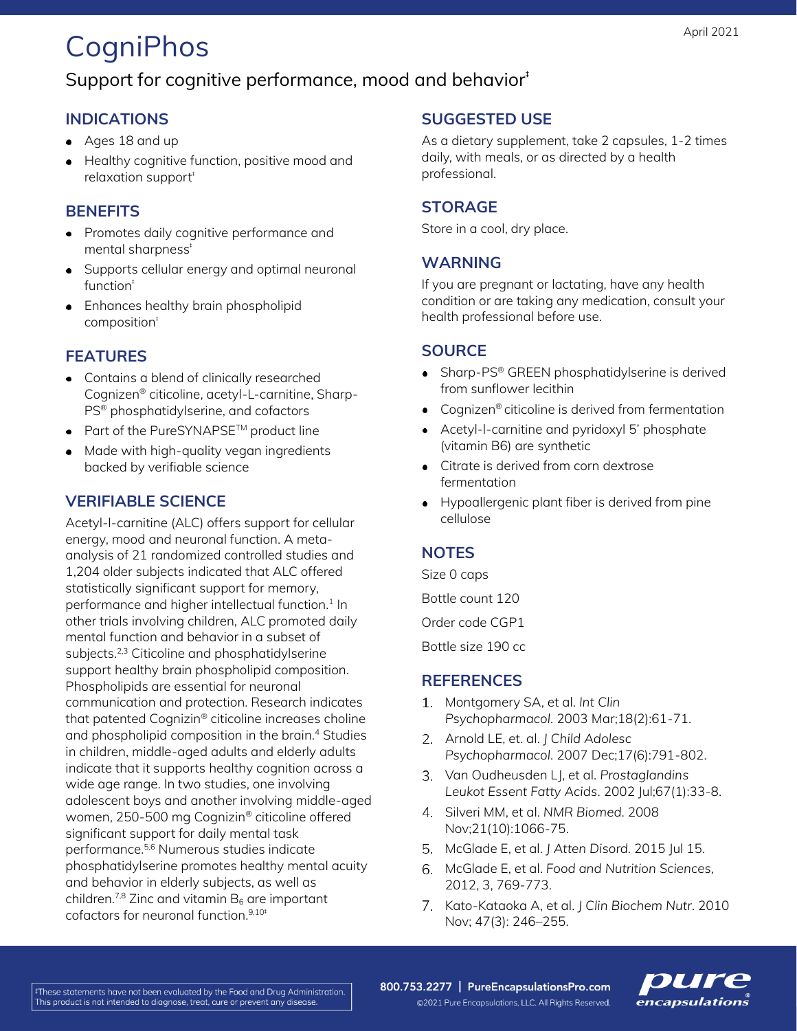# **CogniPhos**

## Support for cognitive performance, mood and behavior<sup>#</sup>

### **INDICATIONS**

- Ages 18 and up
- **•** Healthy cognitive function, positive mood and relaxation support<sup>#</sup>

#### **BENEFITS**

- Promotes daily cognitive performance and mental sharpness<sup>+</sup>
- Supports cellular energy and optimal neuronal function‡
- Enhances healthy brain phospholipid composition‡

#### **FEATURES**

- Contains a blend of clinically researched Cognizen® citicoline, acetyl-L-carnitine, Sharp-PS® phosphatidylserine, and cofactors
- Part of the PureSYNAPSE<sup>TM</sup> product line
- Made with high-quality vegan ingredients backed by verifiable science

### **VERIFIABLE SCIENCE**

Acetyl-l-carnitine (ALC) offers support for cellular energy, mood and neuronal function. A metaanalysis of 21 randomized controlled studies and 1,204 older subjects indicated that ALC offered statistically significant support for memory, performance and higher intellectual function.<sup>1</sup> In other trials involving children, ALC promoted daily mental function and behavior in a subset of subjects.<sup>2,3</sup> Citicoline and phosphatidylserine support healthy brain phospholipid composition. Phospholipids are essential for neuronal communication and protection. Research indicates that patented Cognizin® citicoline increases choline and phospholipid composition in the brain.<sup>4</sup> Studies in children, middle-aged adults and elderly adults indicate that it supports healthy cognition across a wide age range. In two studies, one involving adolescent boys and another involving middle-aged women, 250-500 mg Cognizin® citicoline offered significant support for daily mental task performance. 5,6 Numerous studies indicate phosphatidylserine promotes healthy mental acuity and behavior in elderly subjects, as well as children.<sup>7,8</sup> Zinc and vitamin  $B_6$  are important cofactors for neuronal function.<sup>9,10‡</sup>

#### **SUGGESTED USE**

As a dietary supplement, take 2 capsules, 1-2 times daily, with meals, or as directed by a health professional.

#### **STORAGE**

Store in a cool, dry place.

#### **WARNING**

If you are pregnant or lactating, have any health condition or are taking any medication, consult your health professional before use.

#### **SOURCE**

- Sharp-PS® GREEN phosphatidylserine is derived from sunflower lecithin
- Cognizen® citicoline is derived from fermentation
- Acetyl-l-carnitine and pyridoxyl 5' phosphate (vitamin B6) are synthetic
- Citrate is derived from corn dextrose fermentation
- Hypoallergenic plant fiber is derived from pine cellulose

#### **NOTES**

Size 0 caps

Bottle count 120

Order code CGP1

Bottle size 190 cc

#### **REFERENCES**

- Montgomery SA, et al. *Int Clin Psychopharmacol.* 2003 Mar;18(2):61-71.
- Arnold LE, et. al. *J Child Adolesc Psychopharmacol.* 2007 Dec;17(6):791-802.
- Van Oudheusden LJ, et al. *Prostaglandins Leukot Essent Fatty Acids*. 2002 Jul;67(1):33-8.
- Silveri MM, et al. *NMR Biomed*. 2008 Nov;21(10):1066-75.
- McGlade E, et al. *J Atten Disord.* 2015 Jul 15.
- McGlade E, et al. *Food and Nutrition Sciences,* 2012, 3, 769-773.
- 7. Kato-Kataoka A, et al. *J Clin Biochem Nutr.* 2010 Nov; 47(3): 246–255.